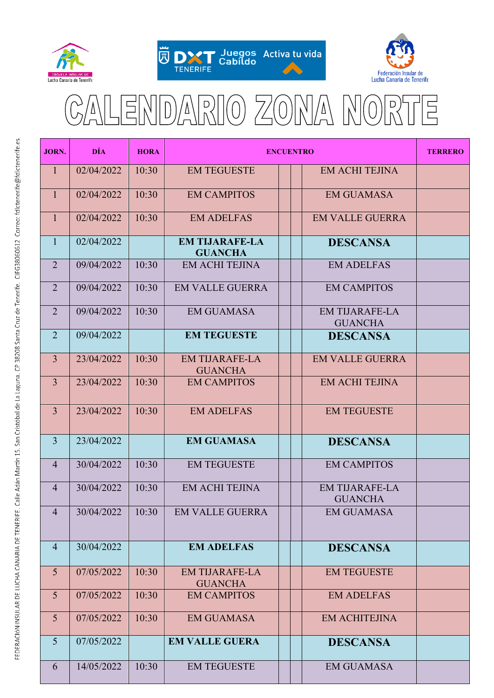





## $\overline{D}$ É D  $\Delta$ Δ  $\overline{\Gamma}$

| <b>JORN.</b>   | <b>DÍA</b> | <b>HORA</b> | <b>ENCUENTRO</b>                        |  |  |                                         | <b>TERRERO</b> |
|----------------|------------|-------------|-----------------------------------------|--|--|-----------------------------------------|----------------|
| $\mathbf{1}$   | 02/04/2022 | 10:30       | <b>EM TEGUESTE</b>                      |  |  | <b>EM ACHI TEJINA</b>                   |                |
| $\mathbf{1}$   | 02/04/2022 | 10:30       | <b>EM CAMPITOS</b>                      |  |  | <b>EM GUAMASA</b>                       |                |
| 1              | 02/04/2022 | 10:30       | <b>EM ADELFAS</b>                       |  |  | <b>EM VALLE GUERRA</b>                  |                |
| $\mathbf{1}$   | 02/04/2022 |             | <b>EM TIJARAFE-LA</b><br><b>GUANCHA</b> |  |  | <b>DESCANSA</b>                         |                |
| $\overline{2}$ | 09/04/2022 | 10:30       | <b>EM ACHI TEJINA</b>                   |  |  | <b>EM ADELFAS</b>                       |                |
| $\overline{2}$ | 09/04/2022 | 10:30       | <b>EM VALLE GUERRA</b>                  |  |  | <b>EM CAMPITOS</b>                      |                |
| $\overline{2}$ | 09/04/2022 | 10:30       | <b>EM GUAMASA</b>                       |  |  | <b>EM TIJARAFE-LA</b><br><b>GUANCHA</b> |                |
| $\overline{2}$ | 09/04/2022 |             | <b>EM TEGUESTE</b>                      |  |  | <b>DESCANSA</b>                         |                |
| $\overline{3}$ | 23/04/2022 | 10:30       | <b>EM TIJARAFE-LA</b><br><b>GUANCHA</b> |  |  | <b>EM VALLE GUERRA</b>                  |                |
| $\overline{3}$ | 23/04/2022 | 10:30       | <b>EM CAMPITOS</b>                      |  |  | <b>EM ACHI TEJINA</b>                   |                |
| $\overline{3}$ | 23/04/2022 | 10:30       | <b>EM ADELFAS</b>                       |  |  | <b>EM TEGUESTE</b>                      |                |
| $\overline{3}$ | 23/04/2022 |             | <b>EM GUAMASA</b>                       |  |  | <b>DESCANSA</b>                         |                |
| $\overline{4}$ | 30/04/2022 | 10:30       | <b>EM TEGUESTE</b>                      |  |  | <b>EM CAMPITOS</b>                      |                |
| $\overline{4}$ | 30/04/2022 | 10:30       | <b>EM ACHI TEJINA</b>                   |  |  | <b>EM TIJARAFE-LA</b><br><b>GUANCHA</b> |                |
| $\overline{4}$ | 30/04/2022 | 10:30       | <b>EM VALLE GUERRA</b>                  |  |  | <b>EM GUAMASA</b>                       |                |
| $\overline{4}$ | 30/04/2022 |             | <b>EM ADELFAS</b>                       |  |  | <b>DESCANSA</b>                         |                |
| 5              | 07/05/2022 | 10:30       | <b>EM TIJARAFE-LA</b><br><b>GUANCHA</b> |  |  | <b>EM TEGUESTE</b>                      |                |
| 5              | 07/05/2022 | 10:30       | <b>EM CAMPITOS</b>                      |  |  | <b>EM ADELFAS</b>                       |                |
| 5              | 07/05/2022 | 10:30       | <b>EM GUAMASA</b>                       |  |  | <b>EM ACHITEJINA</b>                    |                |
| $\overline{5}$ | 07/05/2022 |             | <b>EM VALLE GUERA</b>                   |  |  | <b>DESCANSA</b>                         |                |
| 6              | 14/05/2022 | 10:30       | <b>EM TEGUESTE</b>                      |  |  | <b>EM GUAMASA</b>                       |                |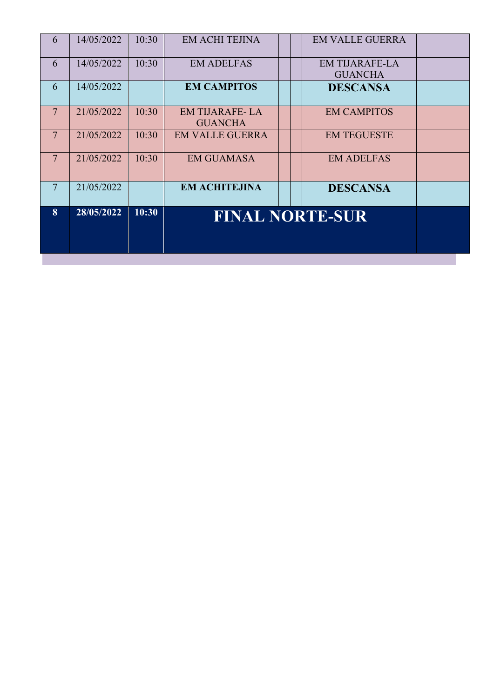| 6               | 14/05/2022 | 10:30 | <b>EM ACHI TEJINA</b>                   |  | <b>EM VALLE GUERRA</b>                  |  |
|-----------------|------------|-------|-----------------------------------------|--|-----------------------------------------|--|
| 6               | 14/05/2022 | 10:30 | <b>EM ADELFAS</b>                       |  | <b>EM TIJARAFE-LA</b><br><b>GUANCHA</b> |  |
| 6               | 14/05/2022 |       | <b>EM CAMPITOS</b>                      |  | <b>DESCANSA</b>                         |  |
| $7\phantom{.0}$ | 21/05/2022 | 10:30 | <b>EM TIJARAFE-LA</b><br><b>GUANCHA</b> |  | <b>EM CAMPITOS</b>                      |  |
| $7\phantom{.0}$ | 21/05/2022 | 10:30 | <b>EM VALLE GUERRA</b>                  |  | <b>EM TEGUESTE</b>                      |  |
| $7\phantom{.0}$ | 21/05/2022 | 10:30 | <b>EM GUAMASA</b>                       |  | <b>EM ADELFAS</b>                       |  |
| $\overline{7}$  | 21/05/2022 |       | <b>EM ACHITEJINA</b>                    |  | <b>DESCANSA</b>                         |  |
| 8               | 28/05/2022 | 10:30 | <b>FINAL NORTE-SUR</b>                  |  |                                         |  |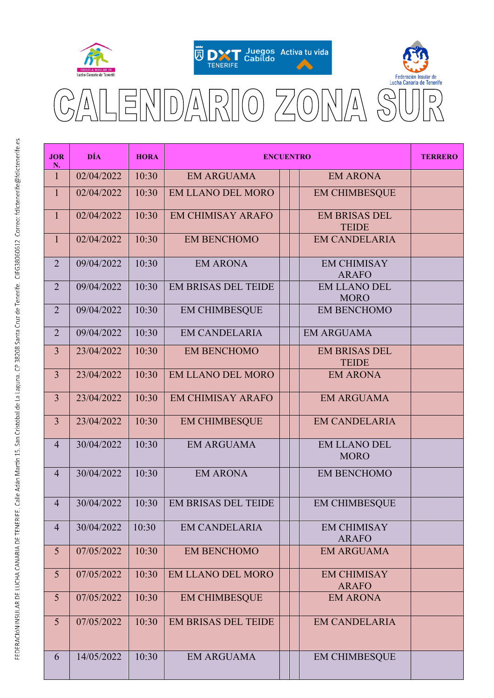





 $\overline{\nabla}$  $\frac{1}{\Gamma}$  $\overline{v}$ 

| <b>JOR</b><br>N. | <b>DÍA</b> | <b>HORA</b> | <b>ENCUENTRO</b>           |  |                                      | <b>TERRERO</b> |
|------------------|------------|-------------|----------------------------|--|--------------------------------------|----------------|
| $\mathbf{1}$     | 02/04/2022 | 10:30       | <b>EM ARGUAMA</b>          |  | <b>EM ARONA</b>                      |                |
| $\mathbf{1}$     | 02/04/2022 | 10:30       | <b>EM LLANO DEL MORO</b>   |  | <b>EM CHIMBESQUE</b>                 |                |
| $\mathbf{1}$     | 02/04/2022 | 10:30       | <b>EM CHIMISAY ARAFO</b>   |  | <b>EM BRISAS DEL</b><br><b>TEIDE</b> |                |
| $\mathbf{1}$     | 02/04/2022 | 10:30       | <b>EM BENCHOMO</b>         |  | <b>EM CANDELARIA</b>                 |                |
| $\overline{2}$   | 09/04/2022 | 10:30       | <b>EM ARONA</b>            |  | <b>EM CHIMISAY</b><br><b>ARAFO</b>   |                |
| $\overline{2}$   | 09/04/2022 | 10:30       | <b>EM BRISAS DEL TEIDE</b> |  | <b>EM LLANO DEL</b><br><b>MORO</b>   |                |
| $\overline{2}$   | 09/04/2022 | 10:30       | <b>EM CHIMBESQUE</b>       |  | <b>EM BENCHOMO</b>                   |                |
| $\overline{2}$   | 09/04/2022 | 10:30       | <b>EM CANDELARIA</b>       |  | <b>EM ARGUAMA</b>                    |                |
| $\overline{3}$   | 23/04/2022 | 10:30       | <b>EM BENCHOMO</b>         |  | <b>EM BRISAS DEL</b><br><b>TEIDE</b> |                |
| $\overline{3}$   | 23/04/2022 | 10:30       | <b>EM LLANO DEL MORO</b>   |  | <b>EM ARONA</b>                      |                |
| $\overline{3}$   | 23/04/2022 | 10:30       | <b>EM CHIMISAY ARAFO</b>   |  | <b>EM ARGUAMA</b>                    |                |
| $\overline{3}$   | 23/04/2022 | 10:30       | <b>EM CHIMBESQUE</b>       |  | <b>EM CANDELARIA</b>                 |                |
| $\overline{4}$   | 30/04/2022 | 10:30       | <b>EM ARGUAMA</b>          |  | <b>EM LLANO DEL</b><br><b>MORO</b>   |                |
| $\overline{4}$   | 30/04/2022 | 10:30       | <b>EM ARONA</b>            |  | <b>EM BENCHOMO</b>                   |                |
| $\overline{4}$   | 30/04/2022 | 10:30       | <b>EM BRISAS DEL TEIDE</b> |  | <b>EM CHIMBESQUE</b>                 |                |
| $\overline{4}$   | 30/04/2022 | 10:30       | <b>EM CANDELARIA</b>       |  | <b>EM CHIMISAY</b><br><b>ARAFO</b>   |                |
| 5                | 07/05/2022 | 10:30       | <b>EM BENCHOMO</b>         |  | <b>EM ARGUAMA</b>                    |                |
| 5                | 07/05/2022 | 10:30       | <b>EM LLANO DEL MORO</b>   |  | <b>EM CHIMISAY</b><br><b>ARAFO</b>   |                |
| 5                | 07/05/2022 | 10:30       | <b>EM CHIMBESQUE</b>       |  | <b>EM ARONA</b>                      |                |
| 5                | 07/05/2022 | 10:30       | <b>EM BRISAS DEL TEIDE</b> |  | <b>EM CANDELARIA</b>                 |                |
| 6                | 14/05/2022 | 10:30       | <b>EM ARGUAMA</b>          |  | <b>EM CHIMBESQUE</b>                 |                |